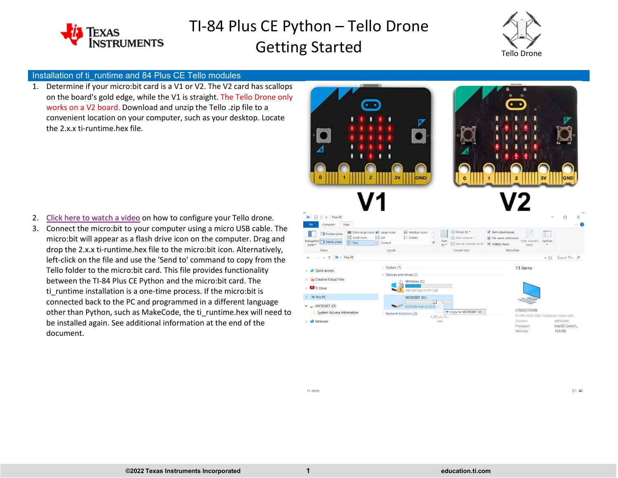



#### Installation of ti\_runtime and 84 Plus CE Tello modules

1. Determine if your micro:bit card is a V1 or V2. The V2 card has scallops on the board's gold edge, while the V1 is straight. The Tello Drone only works on a V2 board. Download and unzip the Tello .zip file to a convenient location on your computer, such as your desktop. Locate the 2.x.x ti-runtime.hex file.



- 2. [Click here to watch a video](https://youtu.be/7ixxWVZE0ss) on how to configure your Tello drone.
- 3. Connect the micro:bit to your computer using a micro USB cable. The micro:bit will appear as a flash drive icon on the computer. Drag and drop the 2.x.x ti-runtime.hex file to the micro:bit icon. Alternatively, left-click on the file and use the 'Send to' command to copy from the Tello folder to the micro:bit card. This file provides functionality between the TI-84 Plus CE Python and the micro:bit card. The ti runtime installation is a one-time process. If the micro:bit is connected back to the PC and programmed in a different language other than Python, such as MakeCode, the ti\_runtime.hex will need to be installed again. See additional information at the end of the document.



11 items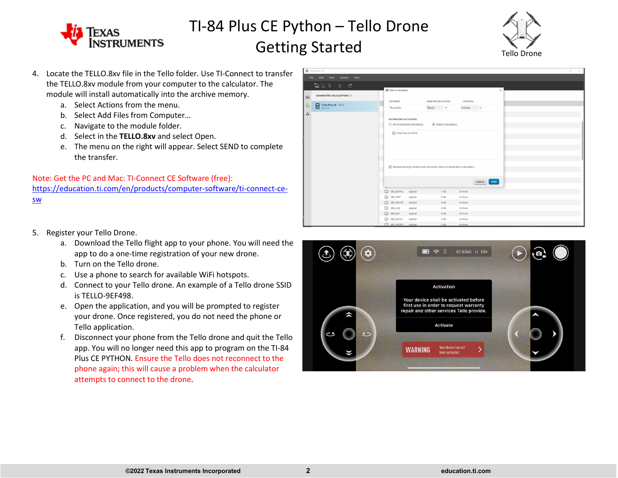



- 4. Locate the TELLO.8xv file in the Tello folder. Use TI-Connect to transfer the TELLO.8xv module from your computer to the calculator. The module will install automatically into the archive memory.
	- a. Select Actions from the menu.
	- b. Select Add Files from Computer…
	- c. Navigate to the module folder.
	- d. Select in the **TELLO.8xv** and select Open.
	- e. The menu on the right will appear. Select SEND to complete the transfer.

Note: Get the PC and Mac: TI-Connect CE Software (free): [https://education.ti.com/en/products/computer-software/ti-connect-ce](https://education.ti.com/en/products/computer-software/ti-connect-ce-sw)[sw](https://education.ti.com/en/products/computer-software/ti-connect-ce-sw)

|         | TI Connect <sup>on</sup> CE      |                                                                                   |                        |                  |          | $\Box$<br>$\sim$<br>$\times$ |  |  |
|---------|----------------------------------|-----------------------------------------------------------------------------------|------------------------|------------------|----------|------------------------------|--|--|
|         | File Edit<br>View Actions Help   |                                                                                   |                        |                  |          |                              |  |  |
|         | <b>Qiarac</b>                    |                                                                                   |                        |                  |          |                              |  |  |
|         |                                  | <b>Ed</b> Send to Calculators                                                     |                        |                  | $\times$ |                              |  |  |
| $\circ$ | <b>CONNECTED CALCULATORS (1)</b> |                                                                                   |                        |                  |          |                              |  |  |
| 旧       | TI-84 Plus CE - 5973             | FILE NAME:                                                                        | NAME ON CALCULATOR:    | <b>LOCATION:</b> |          |                              |  |  |
|         |                                  | TELLO.8xv                                                                         | <b>TELLO</b><br>$\sim$ | Archive $\vee$   |          |                              |  |  |
| ή,      |                                  |                                                                                   |                        |                  |          |                              |  |  |
|         |                                  | <b>DESTINATION CALCULATORS:</b>                                                   |                        |                  |          |                              |  |  |
|         |                                  | All Connected Calculators<br>Select Calculators                                   |                        |                  |          |                              |  |  |
|         |                                  | V TI-84 Plus CE-5973                                                              |                        |                  |          |                              |  |  |
|         |                                  |                                                                                   |                        |                  |          |                              |  |  |
|         |                                  |                                                                                   |                        |                  |          |                              |  |  |
|         |                                  |                                                                                   |                        |                  |          |                              |  |  |
|         |                                  |                                                                                   |                        |                  |          |                              |  |  |
|         |                                  | $\sqrt{ }$ Replace existing content with the same name on destination calculators |                        |                  |          |                              |  |  |
|         |                                  |                                                                                   |                        |                  |          |                              |  |  |
|         |                                  |                                                                                   |                        |                  |          |                              |  |  |
|         |                                  |                                                                                   |                        | CANCEL SEND      |          |                              |  |  |
|         |                                  |                                                                                   |                        |                  |          |                              |  |  |
|         |                                  | MB_BUTNS<br>AppVar                                                                | 1 kB                   | Archive          |          |                              |  |  |
|         |                                  | MB_DISP<br>AppVar                                                                 | 4kB                    | Archive          |          |                              |  |  |
|         |                                  | MB_GROVE<br>AppVar                                                                | 4kB                    | Archive          |          |                              |  |  |
|         |                                  | $B$ MB_LOG<br>AppVar                                                              | 2kB                    | Archive          |          |                              |  |  |
|         |                                  | <b>D</b> MB_MIC<br>AppVar                                                         | 2kB                    | Archive          |          |                              |  |  |
|         |                                  | MB_MUSIC<br>AppVar                                                                | 2kB                    | Archive          |          |                              |  |  |
|         |                                  | <b>CO MB NEOPX</b><br>AppVar                                                      | $2$ kB                 | Archive          |          |                              |  |  |

- 5. Register your Tello Drone.
	- a. Download the Tello flight app to your phone. You will need the app to do a one-time registration of your new drone.
	- b. Turn on the Tello drone.
	- c. Use a phone to search for available WiFi hotspots.
	- d. Connect to your Tello drone. An example of a Tello drone SSID is TELLO-9EF498.
	- e. Open the application, and you will be prompted to register your drone. Once registered, you do not need the phone or Tello application.
	- f. Disconnect your phone from the Tello drone and quit the Tello app. You will no longer need this app to program on the TI-84 Plus CE PYTHON. Ensure the Tello does not reconnect to the phone again; this will cause a problem when the calculator attempts to connect to the drone.

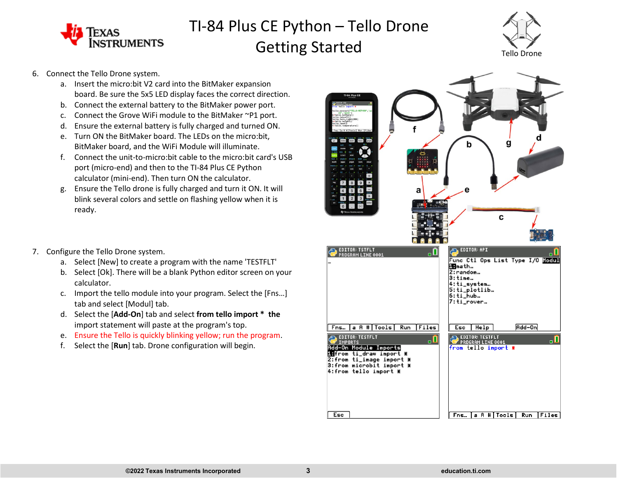



- 6. Connect the Tello Drone system.
	- a. Insert the micro:bit V2 card into the BitMaker expansion board. Be sure the 5x5 LED display faces the correct direction.
	- b. Connect the external battery to the BitMaker power port.
	- c. Connect the Grove WiFi module to the BitMaker ~P1 port.
	- d. Ensure the external battery is fully charged and turned ON.
	- e. Turn ON the BitMaker board. The LEDs on the micro:bit, BitMaker board, and the WiFi Module will illuminate.
	- f. Connect the unit-to-micro:bit cable to the micro:bit card's USB port (micro-end) and then to the TI-84 Plus CE Python calculator (mini-end). Then turn ON the calculator.
	- g. Ensure the Tello drone is fully charged and turn it ON. It will blink several colors and settle on flashing yellow when it is ready.
- 7. Configure the Tello Drone system.
	- a. Select [New] to create a program with the name 'TESTFLT'
	- b. Select [Ok]. There will be a blank Python editor screen on your calculator.
	- c. Import the tello module into your program. Select the [Fns…] tab and select [Modul] tab.
	- d. Select the [**Add-On**] tab and select **from tello import \* the**  import statement will paste at the program's top.
	- e. Ensure the Tello is quickly blinking yellow; run the program.
	- f. Select the [**Run**] tab. Drone configuration will begin.

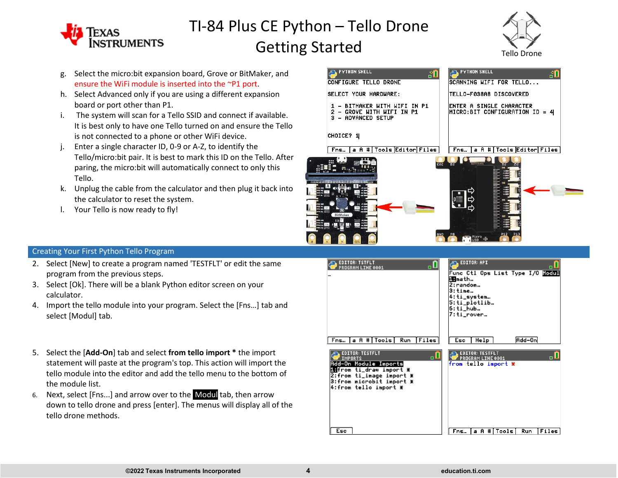



- g. Select the micro:bit expansion board, Grove or BitMaker, and ensure the WiFi module is inserted into the ~P1 port.
- h. Select Advanced only if you are using a different expansion board or port other than P1.
- i. The system will scan for a Tello SSID and connect if available. It is best only to have one Tello turned on and ensure the Tello is not connected to a phone or other WiFi device.
- Enter a single character ID, 0-9 or A-Z, to identify the Tello/micro:bit pair. It is best to mark this ID on the Tello. After paring, the micro:bit will automatically connect to only this Tello.
- k. Unplug the cable from the calculator and then plug it back into the calculator to reset the system.
- l. Your Tello is now ready to fly!

| <b>PYTHON SHELL</b><br>GП                                                                            | <b>PYTHON SHELL</b><br>ျ                                                                               |
|------------------------------------------------------------------------------------------------------|--------------------------------------------------------------------------------------------------------|
| CONFIGURE TELLO DRONE                                                                                | SCANNING WIFI FOR TELLO                                                                                |
| SELECT YOUR HARDWARE:                                                                                | TELLO-F038A8 DISCOVERED                                                                                |
| BITMAKER WITH WIFI IN P1<br>ı<br>GROVE WITH WIFI IN P1<br>2<br>- ADVANCED SETUP<br>з                 | ENTER A SINGLE CHARACTER<br>MICRO:BIT CONFIGURATION ID = 4                                             |
| CHOICE? 1<br>a A # Tools Editor Files<br>Fns…                                                        | a A # Tools Editor Files <br>Fns                                                                       |
| H,<br>200 120<br>画<br>$\frac{1}{2}$ is a $\frac{1}{2}$ $\frac{1}{2}$ $\frac{1}{2}$<br>BitMaker<br>P2 | ENE<br>$\frac{1}{2}$<br>Ιē<br>P <sub>13</sub><br><b>GND</b><br>P <sub>8</sub><br>ese Micro<br>NusB Par |

#### Creating Your First Python Tello Program

- 2. Select [New] to create a program named 'TESTFLT' or edit the same program from the previous steps.
- 3. Select [Ok]. There will be a blank Python editor screen on your calculator.
- 4. Import the tello module into your program. Select the [Fns…] tab and select [Modul] tab.
- 5. Select the [**Add-On**] tab and select **from tello import \*** the import statement will paste at the program's top. This action will import the tello module into the editor and add the tello menu to the bottom of the module list.
- 6. Next, select [Fns...] and arrow over to the Modul tab, then arrow down to tello drone and press [enter]. The menus will display all of the tello drone methods.

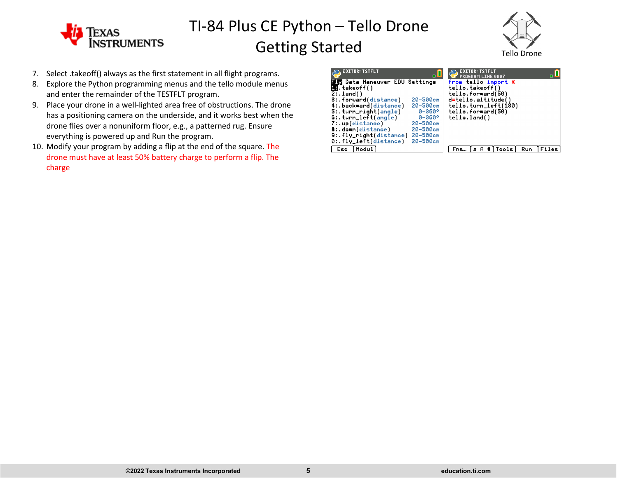



- 7. Select .takeoff() always as the first statement in all flight programs.
- 8. Explore the Python programming menus and the tello module menus and enter the remainder of the TESTFLT program.
- 9. Place your drone in a well-lighted area free of obstructions. The drone has a positioning camera on the underside, and it works best when the drone flies over a nonuniform floor, e.g., a patterned rug. Ensure everything is powered up and Run the program.
- 10. Modify your program by adding a flip at the end of the square. The drone must have at least 50% battery charge to perform a flip. The charge

| <b>EDITOR: TSTFLT</b>                | пL                |                     | EDITOR: TSTFLT<br>PROGRAM LINE 0007 |                      |            |       |
|--------------------------------------|-------------------|---------------------|-------------------------------------|----------------------|------------|-------|
| <b>Ly</b> Data Maneuver EDU Settings |                   | from tello import * |                                     |                      |            |       |
| <b>LH.</b> takeoff()                 |                   |                     | tello.takeoff()                     |                      |            |       |
| $2:$ . land( )                       |                   |                     | tello.forward(50)                   |                      |            |       |
| 3: forward(distance)                 | $20 - 500$ cm     | d=tello.altitude()  |                                     |                      |            |       |
| 4:.backward(distance)                | $20 - 500$ cm     |                     |                                     | tello.turn_left(180) |            |       |
| $5:$ .turn_right(angle)              | $0 - 360^{\circ}$ |                     | tello.forward(50)                   |                      |            |       |
| $6:$ .turn_left(angle)               | $0 - 360^{\circ}$ | tello.land()        |                                     |                      |            |       |
| 7: up(distance)                      | $20 - 500$ cm     |                     |                                     |                      |            |       |
| 8: down(distance)                    | $20 - 500$ cm     |                     |                                     |                      |            |       |
| $9:$ fly_right(distance)             | $20 - 500$ cm     |                     |                                     |                      |            |       |
| $0:$ fly_left(distance)              | $20 - 500$ cm     |                     |                                     |                      |            |       |
| Modul<br>Esc                         |                   | Fns.                |                                     | Tools                | <b>Run</b> | Files |